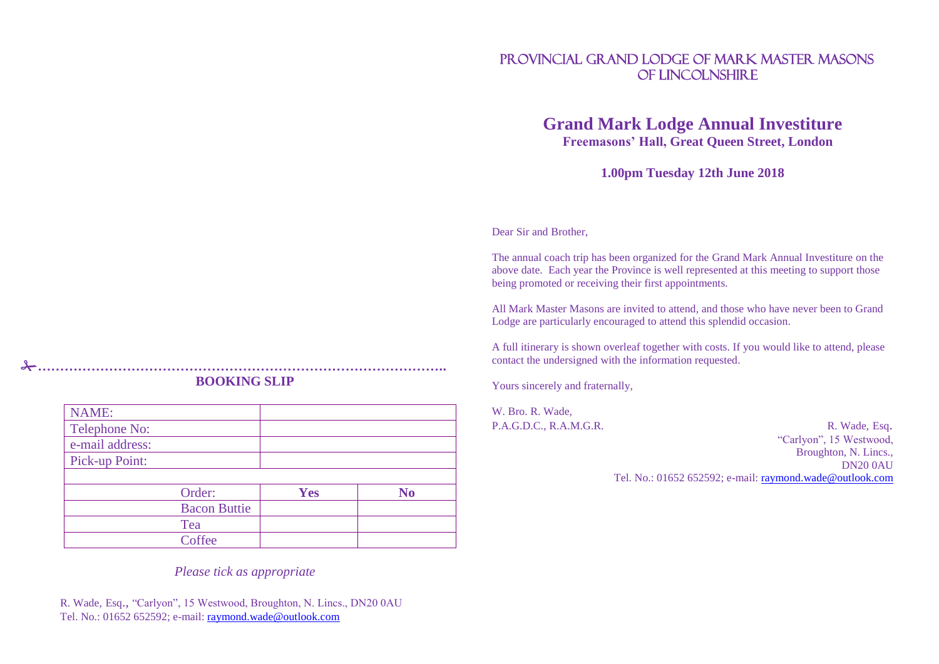# PROVINCIAL GRAND LODGE OF MARK MASTER MASONS OF LINCOLNSHIRE

# **Grand Mark Lodge Annual Investiture Freemasons' Hall, Great Queen Street, London**

**1.00pm Tuesday 12th June 2018**

Dear Sir and Brother,

The annual coach trip has been organized for the Grand Mark Annual Investiture on the above date. Each year the Province is well represented at this meeting to support those being promoted or receiving their first appointments.

All Mark Master Masons are invited to attend, and those who have never been to Grand Lodge are particularly encouraged to attend this splendid occasion.

A full itinerary is shown overleaf together with costs. If you would like to attend, please contact the undersigned with the information requested.

Yours sincerely and fraternally,

W. Bro. R. Wade,

P.A.G.D.C., R.A.M.G.R. R. R. Wade, Esq. "Carlyon", 15 Westwood, Broughton, N. Lincs., DN20 0AU Tel. No.: 01652 652592; e-mail: [raymond.wade@outlook.com](mailto:ray@wade01.fslife.co.uk)

## **……………………………………………………………………………….. BOOKING SLIP**

| <b>NAME:</b>    |                     |            |                |
|-----------------|---------------------|------------|----------------|
| Telephone No:   |                     |            |                |
| e-mail address: |                     |            |                |
| Pick-up Point:  |                     |            |                |
|                 |                     |            |                |
|                 | Order:              | <b>Yes</b> | N <sub>0</sub> |
|                 |                     |            |                |
|                 | <b>Bacon Buttie</b> |            |                |
|                 | Tea                 |            |                |

*Please tick as appropriate*

R. Wade, Esq., "Carlyon", 15 Westwood, Broughton, N. Lincs., DN20 0AU Tel. No.: 01652 652592; e-mail: [raymond.wade@outlook.com](mailto:raymond.wade@outlook.com)